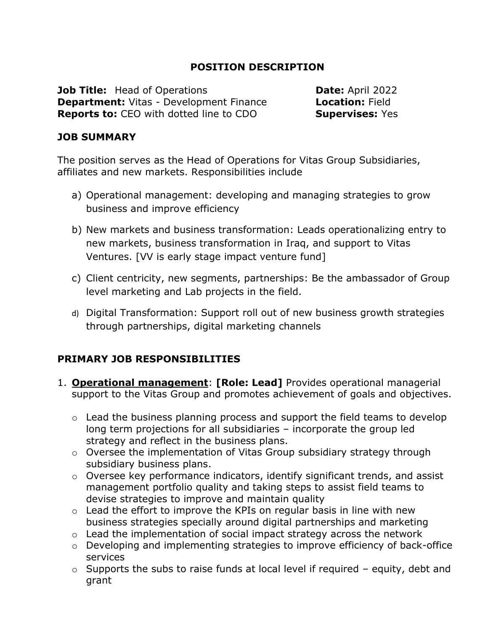## **POSITION DESCRIPTION**

**Job Title:** Head of Operations **Date:** April 2022 **Department:** Vitas - Development Finance **Location:** Field **Reports to:** CEO with dotted line to CDO **Supervises:** Yes

#### **JOB SUMMARY**

The position serves as the Head of Operations for Vitas Group Subsidiaries, affiliates and new markets. Responsibilities include

- a) Operational management: developing and managing strategies to grow business and improve efficiency
- b) New markets and business transformation: Leads operationalizing entry to new markets, business transformation in Iraq, and support to Vitas Ventures. [VV is early stage impact venture fund]
- c) Client centricity, new segments, partnerships: Be the ambassador of Group level marketing and Lab projects in the field.
- d) Digital Transformation: Support roll out of new business growth strategies through partnerships, digital marketing channels

### **PRIMARY JOB RESPONSIBILITIES**

- 1. **Operational management**: **[Role: Lead]** Provides operational managerial support to the Vitas Group and promotes achievement of goals and objectives.
	- o Lead the business planning process and support the field teams to develop long term projections for all subsidiaries – incorporate the group led strategy and reflect in the business plans.
	- o Oversee the implementation of Vitas Group subsidiary strategy through subsidiary business plans.
	- o Oversee key performance indicators, identify significant trends, and assist management portfolio quality and taking steps to assist field teams to devise strategies to improve and maintain quality
	- o Lead the effort to improve the KPIs on regular basis in line with new business strategies specially around digital partnerships and marketing
	- $\circ$  Lead the implementation of social impact strategy across the network
	- o Developing and implementing strategies to improve efficiency of back-office services
	- $\circ$  Supports the subs to raise funds at local level if required equity, debt and grant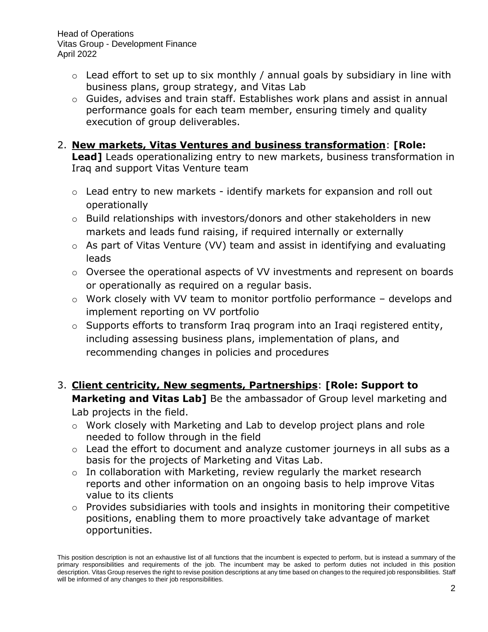Head of Operations Vitas Group - Development Finance April 2022

- $\circ$  Lead effort to set up to six monthly / annual goals by subsidiary in line with business plans, group strategy, and Vitas Lab
- o Guides, advises and train staff. Establishes work plans and assist in annual performance goals for each team member, ensuring timely and quality execution of group deliverables.

### 2. **New markets, Vitas Ventures and business transformation**: **[Role:**

**Lead]** Leads operationalizing entry to new markets, business transformation in Iraq and support Vitas Venture team

- o Lead entry to new markets identify markets for expansion and roll out operationally
- o Build relationships with investors/donors and other stakeholders in new markets and leads fund raising, if required internally or externally
- o As part of Vitas Venture (VV) team and assist in identifying and evaluating leads
- o Oversee the operational aspects of VV investments and represent on boards or operationally as required on a regular basis.
- o Work closely with VV team to monitor portfolio performance develops and implement reporting on VV portfolio
- o Supports efforts to transform Iraq program into an Iraqi registered entity, including assessing business plans, implementation of plans, and recommending changes in policies and procedures
- 3. **Client centricity, New segments, Partnerships**: **[Role: Support to Marketing and Vitas Lab]** Be the ambassador of Group level marketing and Lab projects in the field.
	- o Work closely with Marketing and Lab to develop project plans and role needed to follow through in the field
	- o Lead the effort to document and analyze customer journeys in all subs as a basis for the projects of Marketing and Vitas Lab.
	- $\circ$  In collaboration with Marketing, review regularly the market research reports and other information on an ongoing basis to help improve Vitas value to its clients
	- o Provides subsidiaries with tools and insights in monitoring their competitive positions, enabling them to more proactively take advantage of market opportunities.

This position description is not an exhaustive list of all functions that the incumbent is expected to perform, but is instead a summary of the primary responsibilities and requirements of the job. The incumbent may be asked to perform duties not included in this position description. Vitas Group reserves the right to revise position descriptions at any time based on changes to the required job responsibilities. Staff will be informed of any changes to their job responsibilities.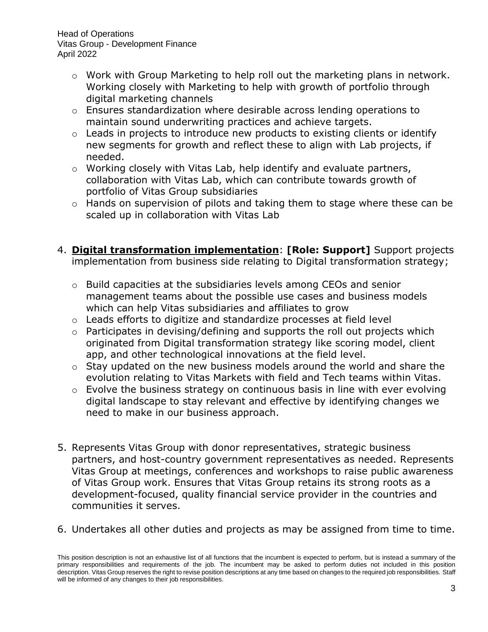Head of Operations Vitas Group - Development Finance April 2022

- o Work with Group Marketing to help roll out the marketing plans in network. Working closely with Marketing to help with growth of portfolio through digital marketing channels
- o Ensures standardization where desirable across lending operations to maintain sound underwriting practices and achieve targets.
- $\circ$  Leads in projects to introduce new products to existing clients or identify new segments for growth and reflect these to align with Lab projects, if needed.
- o Working closely with Vitas Lab, help identify and evaluate partners, collaboration with Vitas Lab, which can contribute towards growth of portfolio of Vitas Group subsidiaries
- o Hands on supervision of pilots and taking them to stage where these can be scaled up in collaboration with Vitas Lab
- 4. **Digital transformation implementation**: **[Role: Support]** Support projects implementation from business side relating to Digital transformation strategy;
	- o Build capacities at the subsidiaries levels among CEOs and senior management teams about the possible use cases and business models which can help Vitas subsidiaries and affiliates to grow
	- o Leads efforts to digitize and standardize processes at field level
	- o Participates in devising/defining and supports the roll out projects which originated from Digital transformation strategy like scoring model, client app, and other technological innovations at the field level.
	- o Stay updated on the new business models around the world and share the evolution relating to Vitas Markets with field and Tech teams within Vitas.
	- o Evolve the business strategy on continuous basis in line with ever evolving digital landscape to stay relevant and effective by identifying changes we need to make in our business approach.
- 5. Represents Vitas Group with donor representatives, strategic business partners, and host-country government representatives as needed. Represents Vitas Group at meetings, conferences and workshops to raise public awareness of Vitas Group work. Ensures that Vitas Group retains its strong roots as a development-focused, quality financial service provider in the countries and communities it serves.
- 6. Undertakes all other duties and projects as may be assigned from time to time.

This position description is not an exhaustive list of all functions that the incumbent is expected to perform, but is instead a summary of the primary responsibilities and requirements of the job. The incumbent may be asked to perform duties not included in this position description. Vitas Group reserves the right to revise position descriptions at any time based on changes to the required job responsibilities. Staff will be informed of any changes to their job responsibilities.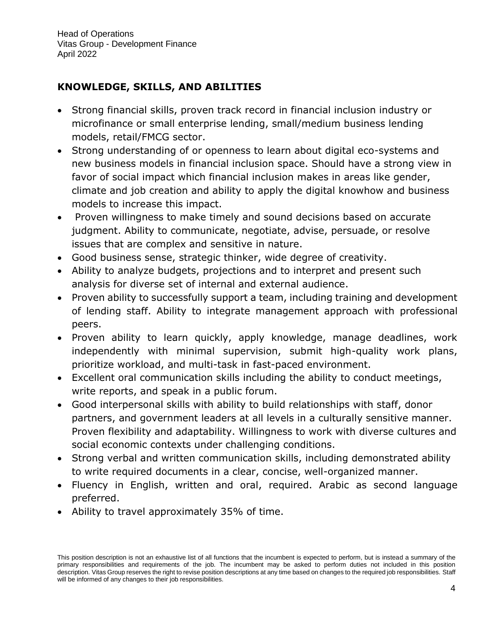# **KNOWLEDGE, SKILLS, AND ABILITIES**

- Strong financial skills, proven track record in financial inclusion industry or microfinance or small enterprise lending, small/medium business lending models, retail/FMCG sector.
- Strong understanding of or openness to learn about digital eco-systems and new business models in financial inclusion space. Should have a strong view in favor of social impact which financial inclusion makes in areas like gender, climate and job creation and ability to apply the digital knowhow and business models to increase this impact.
- Proven willingness to make timely and sound decisions based on accurate judgment. Ability to communicate, negotiate, advise, persuade, or resolve issues that are complex and sensitive in nature.
- Good business sense, strategic thinker, wide degree of creativity.
- Ability to analyze budgets, projections and to interpret and present such analysis for diverse set of internal and external audience.
- Proven ability to successfully support a team, including training and development of lending staff. Ability to integrate management approach with professional peers.
- Proven ability to learn quickly, apply knowledge, manage deadlines, work independently with minimal supervision, submit high-quality work plans, prioritize workload, and multi-task in fast-paced environment.
- Excellent oral communication skills including the ability to conduct meetings, write reports, and speak in a public forum.
- Good interpersonal skills with ability to build relationships with staff, donor partners, and government leaders at all levels in a culturally sensitive manner. Proven flexibility and adaptability. Willingness to work with diverse cultures and social economic contexts under challenging conditions.
- Strong verbal and written communication skills, including demonstrated ability to write required documents in a clear, concise, well-organized manner.
- Fluency in English, written and oral, required. Arabic as second language preferred.
- Ability to travel approximately 35% of time.

This position description is not an exhaustive list of all functions that the incumbent is expected to perform, but is instead a summary of the primary responsibilities and requirements of the job. The incumbent may be asked to perform duties not included in this position description. Vitas Group reserves the right to revise position descriptions at any time based on changes to the required job responsibilities. Staff will be informed of any changes to their job responsibilities.